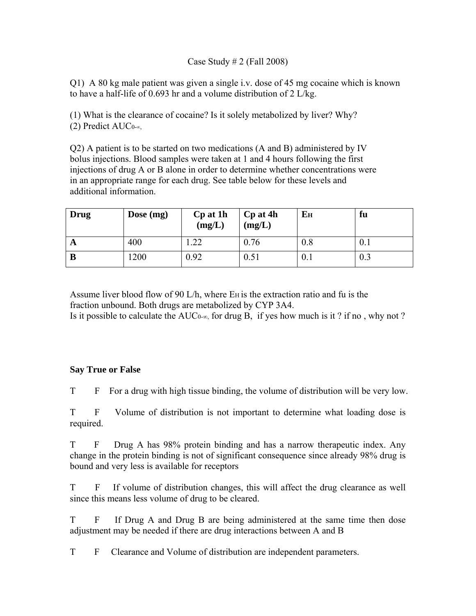## Case Study # 2 (Fall 2008)

Q1) A 80 kg male patient was given a single i.v. dose of 45 mg cocaine which is known to have a half-life of 0.693 hr and a volume distribution of 2 L/kg.

(1) What is the clearance of cocaine? Is it solely metabolized by liver? Why? (2) Predict AUC0-∞,

Q2) A patient is to be started on two medications (A and B) administered by IV bolus injections. Blood samples were taken at 1 and 4 hours following the first injections of drug A or B alone in order to determine whether concentrations were in an appropriate range for each drug. See table below for these levels and additional information.

| Drug | Dose $(mg)$ | Cp at 1h<br>(mg/L) | Cp at 4h<br>(mg/L) | Eн   | fu  |
|------|-------------|--------------------|--------------------|------|-----|
| A    | 400         | .22                | 0.76               | 0.8  | 0.1 |
| B    | 1200        | 0.92               | 0.51               | V. I | 0.3 |

Assume liver blood flow of 90 L/h, where  $E_H$  is the extraction ratio and fu is the fraction unbound. Both drugs are metabolized by CYP 3A4. Is it possible to calculate the AUC<sub>0-∞</sub>, for drug B, if yes how much is it? if no, why not?

## **Say True or False**

T F For a drug with high tissue binding, the volume of distribution will be very low.

T F Volume of distribution is not important to determine what loading dose is required.

T F Drug A has 98% protein binding and has a narrow therapeutic index. Any change in the protein binding is not of significant consequence since already 98% drug is bound and very less is available for receptors

T F If volume of distribution changes, this will affect the drug clearance as well since this means less volume of drug to be cleared.

T F If Drug A and Drug B are being administered at the same time then dose adjustment may be needed if there are drug interactions between A and B

T F Clearance and Volume of distribution are independent parameters.